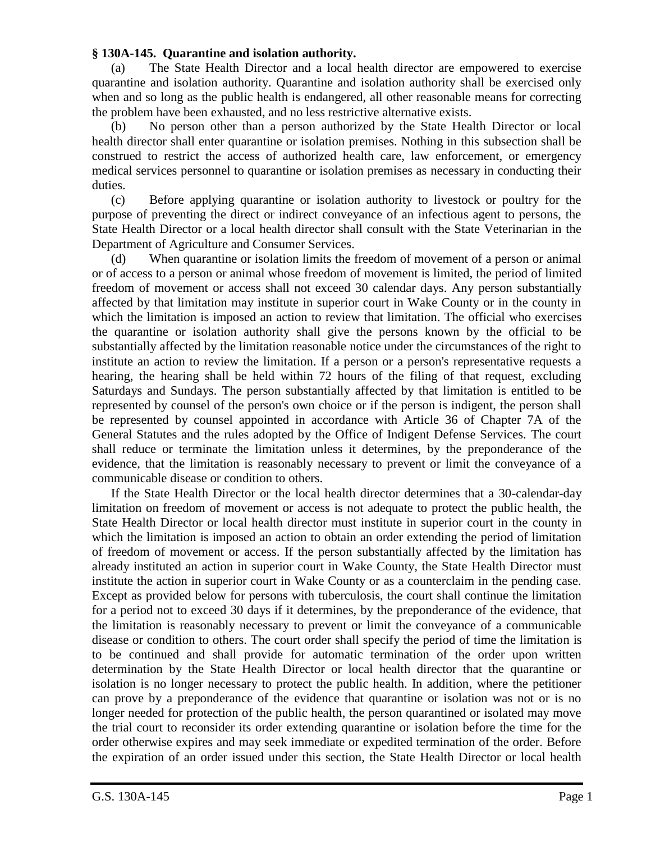## **§ 130A-145. Quarantine and isolation authority.**

(a) The State Health Director and a local health director are empowered to exercise quarantine and isolation authority. Quarantine and isolation authority shall be exercised only when and so long as the public health is endangered, all other reasonable means for correcting the problem have been exhausted, and no less restrictive alternative exists.

(b) No person other than a person authorized by the State Health Director or local health director shall enter quarantine or isolation premises. Nothing in this subsection shall be construed to restrict the access of authorized health care, law enforcement, or emergency medical services personnel to quarantine or isolation premises as necessary in conducting their duties.

(c) Before applying quarantine or isolation authority to livestock or poultry for the purpose of preventing the direct or indirect conveyance of an infectious agent to persons, the State Health Director or a local health director shall consult with the State Veterinarian in the Department of Agriculture and Consumer Services.

(d) When quarantine or isolation limits the freedom of movement of a person or animal or of access to a person or animal whose freedom of movement is limited, the period of limited freedom of movement or access shall not exceed 30 calendar days. Any person substantially affected by that limitation may institute in superior court in Wake County or in the county in which the limitation is imposed an action to review that limitation. The official who exercises the quarantine or isolation authority shall give the persons known by the official to be substantially affected by the limitation reasonable notice under the circumstances of the right to institute an action to review the limitation. If a person or a person's representative requests a hearing, the hearing shall be held within 72 hours of the filing of that request, excluding Saturdays and Sundays. The person substantially affected by that limitation is entitled to be represented by counsel of the person's own choice or if the person is indigent, the person shall be represented by counsel appointed in accordance with Article 36 of Chapter 7A of the General Statutes and the rules adopted by the Office of Indigent Defense Services. The court shall reduce or terminate the limitation unless it determines, by the preponderance of the evidence, that the limitation is reasonably necessary to prevent or limit the conveyance of a communicable disease or condition to others.

If the State Health Director or the local health director determines that a 30-calendar-day limitation on freedom of movement or access is not adequate to protect the public health, the State Health Director or local health director must institute in superior court in the county in which the limitation is imposed an action to obtain an order extending the period of limitation of freedom of movement or access. If the person substantially affected by the limitation has already instituted an action in superior court in Wake County, the State Health Director must institute the action in superior court in Wake County or as a counterclaim in the pending case. Except as provided below for persons with tuberculosis, the court shall continue the limitation for a period not to exceed 30 days if it determines, by the preponderance of the evidence, that the limitation is reasonably necessary to prevent or limit the conveyance of a communicable disease or condition to others. The court order shall specify the period of time the limitation is to be continued and shall provide for automatic termination of the order upon written determination by the State Health Director or local health director that the quarantine or isolation is no longer necessary to protect the public health. In addition, where the petitioner can prove by a preponderance of the evidence that quarantine or isolation was not or is no longer needed for protection of the public health, the person quarantined or isolated may move the trial court to reconsider its order extending quarantine or isolation before the time for the order otherwise expires and may seek immediate or expedited termination of the order. Before the expiration of an order issued under this section, the State Health Director or local health